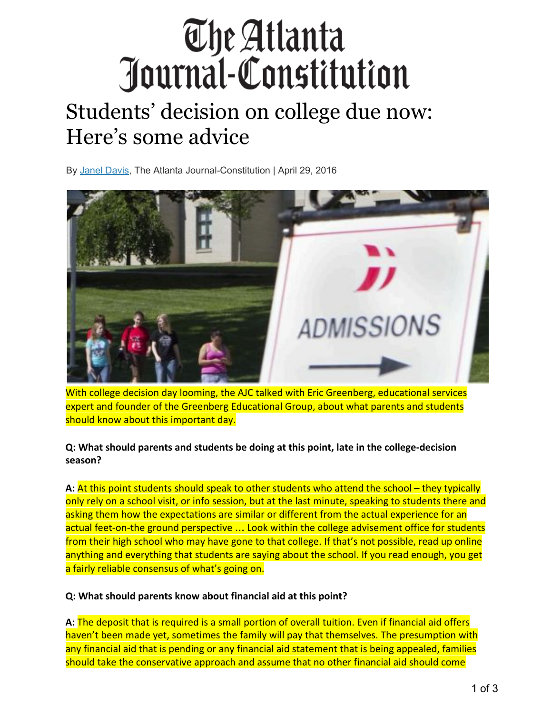# The Atlanta Journal-Constitution

# Students' decision on college due now: Here's some advice

By Janel Davis, The Atlanta Journal-Constitution | April 29, 2016



With college decision day looming, the AJC talked with Eric Greenberg, educational services expert and founder of the Greenberg Educational Group, about what parents and students should know about this important day.

## **Q: What should parents and students be doing at this point, late in the college-decision season?**

**A:** At this point students should speak to other students who attend the school – they typically only rely on a school visit, or info session, but at the last minute, speaking to students there and asking them how the expectations are similar or different from the actual experience for an actual feet-on-the ground perspective ... Look within the college advisement office for students from their high school who may have gone to that college. If that's not possible, read up online anything and everything that students are saying about the school. If you read enough, you get a fairly reliable consensus of what's going on.

## **Q: What should parents know about financial aid at this point?**

**A:** The deposit that is required is a small portion of overall tuition. Even if financial aid offers haven't been made yet, sometimes the family will pay that themselves. The presumption with any financial aid that is pending or any financial aid statement that is being appealed, families should take the conservative approach and assume that no other financial aid should come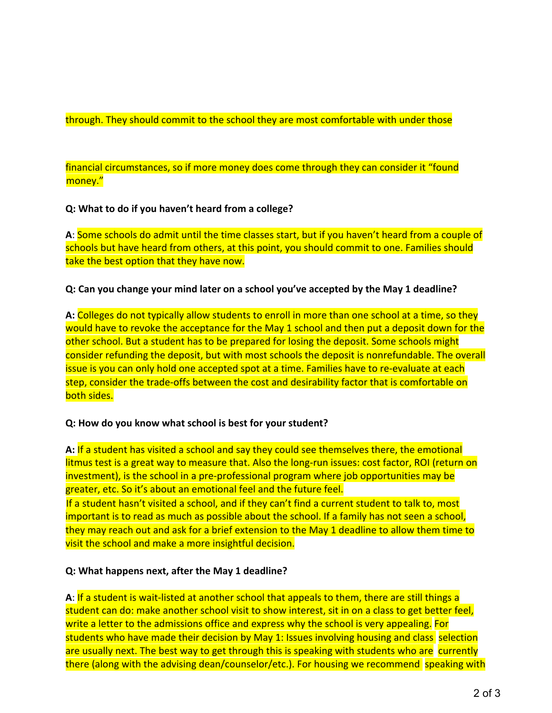#### through. They should commit to the school they are most comfortable with under those

financial circumstances, so if more money does come through they can consider it "found money."

#### **Q: What to do if you haven't heard from a college?**

**A**: Some schools do admit until the time classes start, but if you haven't heard from a couple of schools but have heard from others, at this point, you should commit to one. Families should take the best option that they have now.

#### **Q: Can you change your mind later on a school you've accepted by the May 1 deadline?**

**A:** Colleges do not typically allow students to enroll in more than one school at a time, so they would have to revoke the acceptance for the May 1 school and then put a deposit down for the other school. But a student has to be prepared for losing the deposit. Some schools might consider refunding the deposit, but with most schools the deposit is nonrefundable. The overall issue is you can only hold one accepted spot at a time. Families have to re-evaluate at each step, consider the trade-offs between the cost and desirability factor that is comfortable on both sides.

#### **Q: How do you know what school is best for your student?**

**A:** If a student has visited a school and say they could see themselves there, the emotional litmus test is a great way to measure that. Also the long-run issues: cost factor, ROI (return on investment), is the school in a pre-professional program where job opportunities may be greater, etc. So it's about an emotional feel and the future feel. If a student hasn't visited a school, and if they can't find a current student to talk to, most

important is to read as much as possible about the school. If a family has not seen a school, they may reach out and ask for a brief extension to the May 1 deadline to allow them time to visit the school and make a more insightful decision.

#### **Q: What happens next, after the May 1 deadline?**

**A**: If a student is wait-listed at another school that appeals to them, there are still things a student can do: make another school visit to show interest, sit in on a class to get better feel, write a letter to the admissions office and express why the school is very appealing. For students who have made their decision by May 1: Issues involving housing and class selection are usually next. The best way to get through this is speaking with students who are currently there (along with the advising dean/counselor/etc.). For housing we recommend speaking with